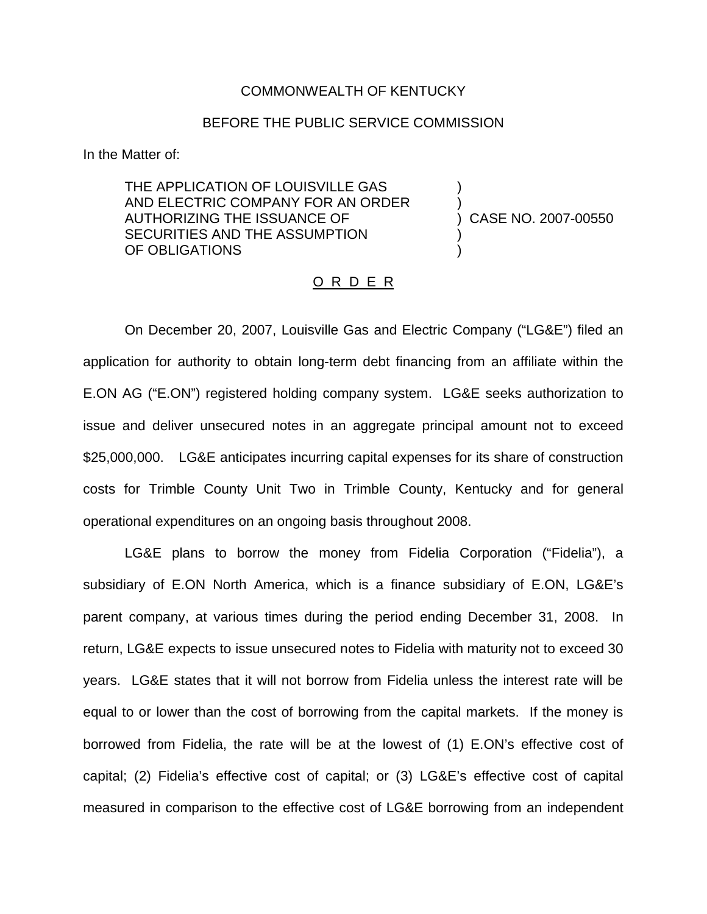## COMMONWEALTH OF KENTUCKY

## BEFORE THE PUBLIC SERVICE COMMISSION

In the Matter of:

THE APPLICATION OF LOUISVILLE GAS AND ELECTRIC COMPANY FOR AN ORDER AUTHORIZING THE ISSUANCE OF (2007-00550) CASE NO. 2007-00550 SECURITIES AND THE ASSUMPTION OF OBLIGATIONS

## O R D E R

On December 20, 2007, Louisville Gas and Electric Company ("LG&E") filed an application for authority to obtain long-term debt financing from an affiliate within the E.ON AG ("E.ON") registered holding company system. LG&E seeks authorization to issue and deliver unsecured notes in an aggregate principal amount not to exceed \$25,000,000. LG&E anticipates incurring capital expenses for its share of construction costs for Trimble County Unit Two in Trimble County, Kentucky and for general operational expenditures on an ongoing basis throughout 2008.

LG&E plans to borrow the money from Fidelia Corporation ("Fidelia"), a subsidiary of E.ON North America, which is a finance subsidiary of E.ON, LG&E's parent company, at various times during the period ending December 31, 2008. In return, LG&E expects to issue unsecured notes to Fidelia with maturity not to exceed 30 years. LG&E states that it will not borrow from Fidelia unless the interest rate will be equal to or lower than the cost of borrowing from the capital markets. If the money is borrowed from Fidelia, the rate will be at the lowest of (1) E.ON's effective cost of capital; (2) Fidelia's effective cost of capital; or (3) LG&E's effective cost of capital measured in comparison to the effective cost of LG&E borrowing from an independent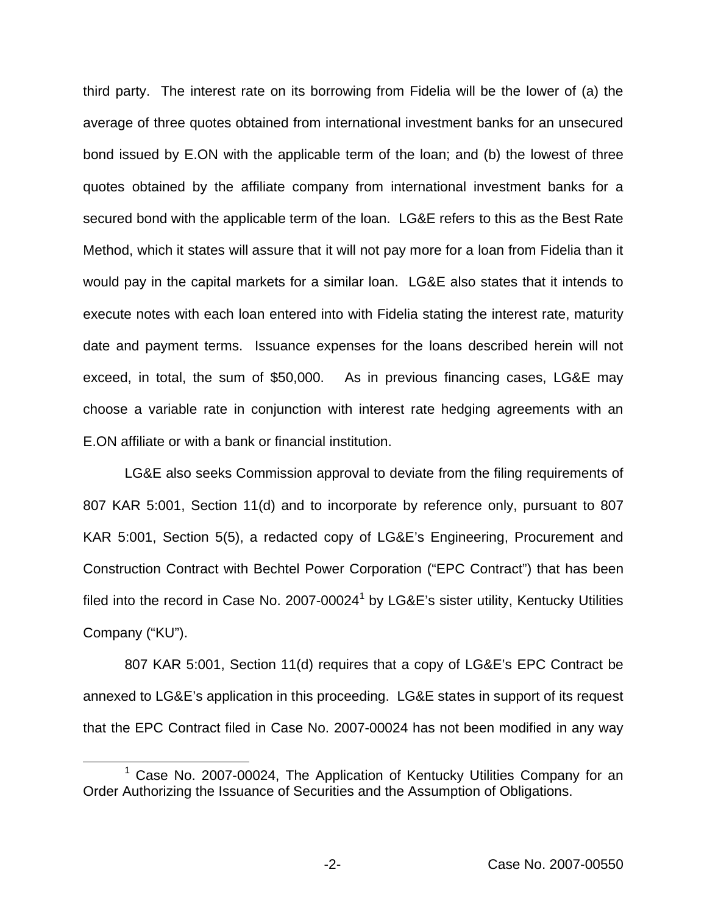third party. The interest rate on its borrowing from Fidelia will be the lower of (a) the average of three quotes obtained from international investment banks for an unsecured bond issued by E.ON with the applicable term of the loan; and (b) the lowest of three quotes obtained by the affiliate company from international investment banks for a secured bond with the applicable term of the loan. LG&E refers to this as the Best Rate Method, which it states will assure that it will not pay more for a loan from Fidelia than it would pay in the capital markets for a similar loan. LG&E also states that it intends to execute notes with each loan entered into with Fidelia stating the interest rate, maturity date and payment terms. Issuance expenses for the loans described herein will not exceed, in total, the sum of \$50,000. As in previous financing cases, LG&E may choose a variable rate in conjunction with interest rate hedging agreements with an E.ON affiliate or with a bank or financial institution.

LG&E also seeks Commission approval to deviate from the filing requirements of 807 KAR 5:001, Section 11(d) and to incorporate by reference only, pursuant to 807 KAR 5:001, Section 5(5), a redacted copy of LG&E's Engineering, Procurement and Construction Contract with Bechtel Power Corporation ("EPC Contract") that has been filed into the record in Case No. 2007-00024 $<sup>1</sup>$  by LG&E's sister utility, Kentucky Utilities</sup> Company ("KU").

807 KAR 5:001, Section 11(d) requires that a copy of LG&E's EPC Contract be annexed to LG&E's application in this proceeding. LG&E states in support of its request that the EPC Contract filed in Case No. 2007-00024 has not been modified in any way

<sup>&</sup>lt;sup>1</sup> Case No. 2007-00024, The Application of Kentucky Utilities Company for an Order Authorizing the Issuance of Securities and the Assumption of Obligations.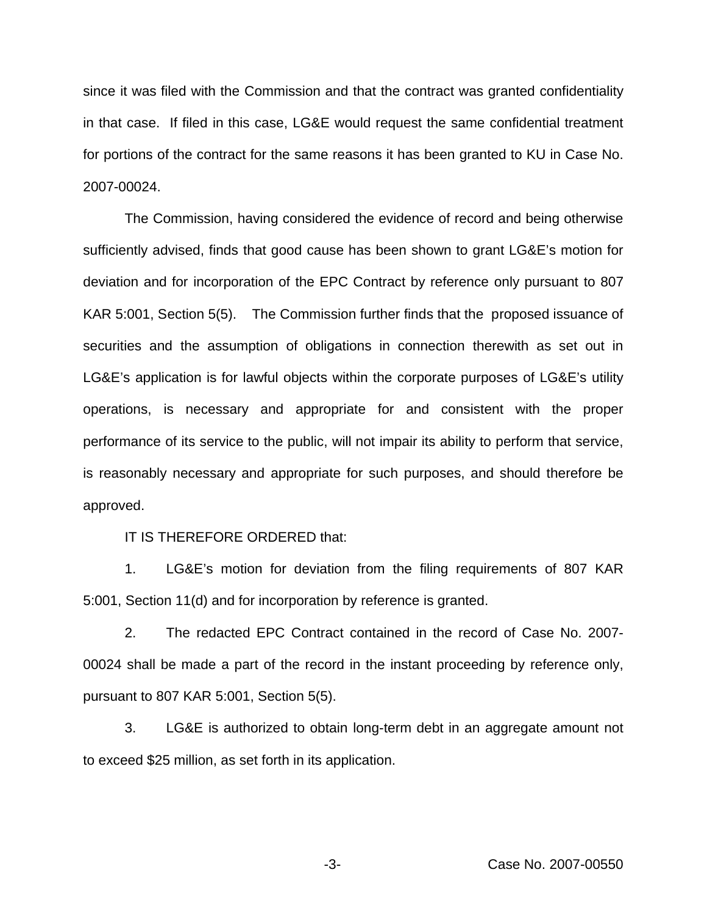since it was filed with the Commission and that the contract was granted confidentiality in that case. If filed in this case, LG&E would request the same confidential treatment for portions of the contract for the same reasons it has been granted to KU in Case No. 2007-00024.

The Commission, having considered the evidence of record and being otherwise sufficiently advised, finds that good cause has been shown to grant LG&E's motion for deviation and for incorporation of the EPC Contract by reference only pursuant to 807 KAR 5:001, Section 5(5). The Commission further finds that the proposed issuance of securities and the assumption of obligations in connection therewith as set out in LG&E's application is for lawful objects within the corporate purposes of LG&E's utility operations, is necessary and appropriate for and consistent with the proper performance of its service to the public, will not impair its ability to perform that service, is reasonably necessary and appropriate for such purposes, and should therefore be approved.

IT IS THEREFORE ORDERED that:

1. LG&E's motion for deviation from the filing requirements of 807 KAR 5:001, Section 11(d) and for incorporation by reference is granted.

2. The redacted EPC Contract contained in the record of Case No. 2007- 00024 shall be made a part of the record in the instant proceeding by reference only, pursuant to 807 KAR 5:001, Section 5(5).

3. LG&E is authorized to obtain long-term debt in an aggregate amount not to exceed \$25 million, as set forth in its application.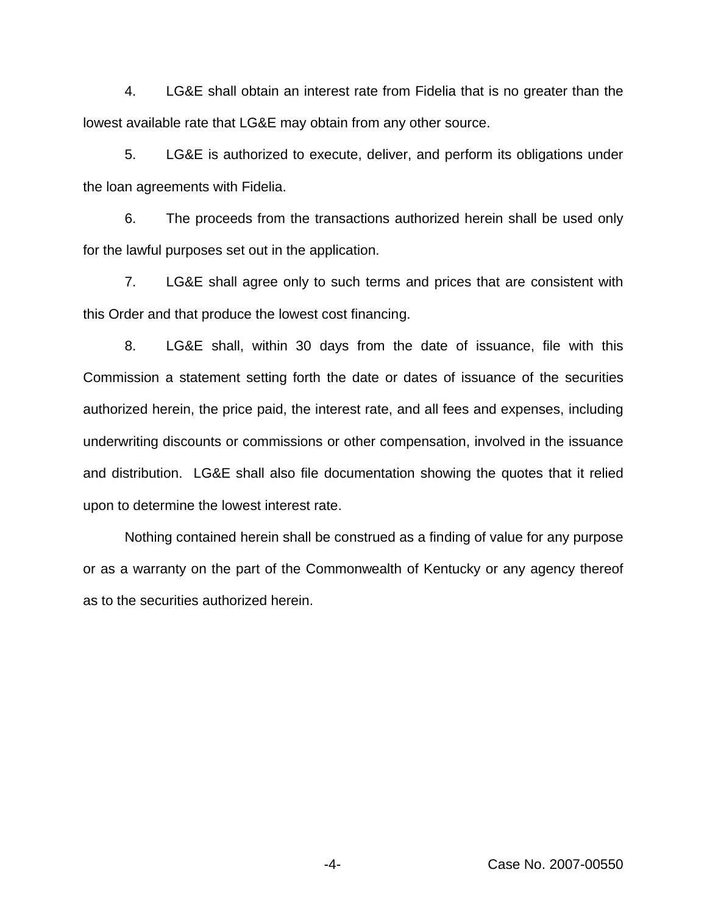4. LG&E shall obtain an interest rate from Fidelia that is no greater than the lowest available rate that LG&E may obtain from any other source.

5. LG&E is authorized to execute, deliver, and perform its obligations under the loan agreements with Fidelia.

6. The proceeds from the transactions authorized herein shall be used only for the lawful purposes set out in the application.

7. LG&E shall agree only to such terms and prices that are consistent with this Order and that produce the lowest cost financing.

8. LG&E shall, within 30 days from the date of issuance, file with this Commission a statement setting forth the date or dates of issuance of the securities authorized herein, the price paid, the interest rate, and all fees and expenses, including underwriting discounts or commissions or other compensation, involved in the issuance and distribution. LG&E shall also file documentation showing the quotes that it relied upon to determine the lowest interest rate.

Nothing contained herein shall be construed as a finding of value for any purpose or as a warranty on the part of the Commonwealth of Kentucky or any agency thereof as to the securities authorized herein.

-4- Case No. 2007-00550